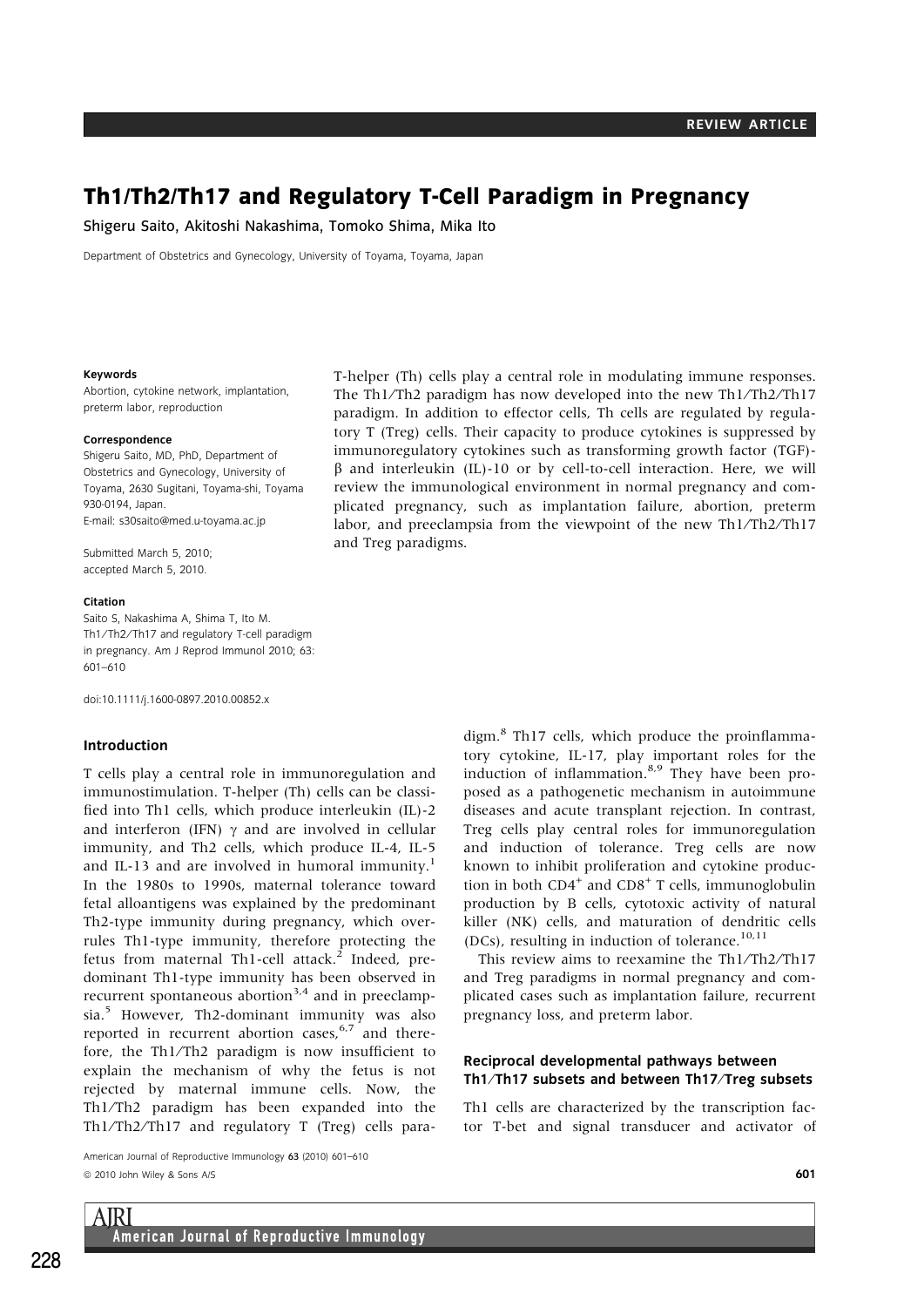# Th1/Th2/Th17 and Regulatory T-Cell Paradigm in Pregnancy

Shigeru Saito, Akitoshi Nakashima, Tomoko Shima, Mika Ito

Department of Obstetrics and Gynecology, University of Toyama, Toyama, Japan

#### Keywords

Abortion, cytokine network, implantation, preterm labor, reproduction

#### **Correspondence**

Shigeru Saito, MD, PhD, Department of Obstetrics and Gynecology, University of Toyama, 2630 Sugitani, Toyama-shi, Toyama 930-0194, Japan. E-mail: s30saito@med.u-toyama.ac.jp

Submitted March 5, 2010; accepted March 5, 2010.

#### Citation

Saito S, Nakashima A, Shima T, Ito M. Th1/Th2/Th17 and regulatory T-cell paradigm in pregnancy. Am J Reprod Immunol 2010; 63: 601–610

doi:10.1111/j.1600-0897.2010.00852.x

### Introduction

T cells play a central role in immunoregulation and immunostimulation. T-helper (Th) cells can be classified into Th1 cells, which produce interleukin (IL)-2 and interferon (IFN)  $\gamma$  and are involved in cellular immunity, and Th2 cells, which produce IL-4, IL-5 and IL-13 and are involved in humoral immunity.<sup>1</sup> In the 1980s to 1990s, maternal tolerance toward fetal alloantigens was explained by the predominant Th2-type immunity during pregnancy, which overrules Th1-type immunity, therefore protecting the fetus from maternal Th1-cell attack.<sup>2</sup> Indeed, predominant Th1-type immunity has been observed in recurrent spontaneous abortion<sup>3,4</sup> and in preeclampsia.<sup>5</sup> However, Th2-dominant immunity was also reported in recurrent abortion cases,  $6.7$  and therefore, the Th1/Th2 paradigm is now insufficient to explain the mechanism of why the fetus is not rejected by maternal immune cells. Now, the Th1/Th2 paradigm has been expanded into the Th1/Th2/Th17 and regulatory T (Treg) cells para-

American Journal of Reproductive Immunology 63 (2010) 601–610  $\circledcirc$  2010 John Wiley & Sons A/S 601

T-helper (Th) cells play a central role in modulating immune responses. The Th1/Th2 paradigm has now developed into the new Th1/Th2/Th17 paradigm. In addition to effector cells, Th cells are regulated by regulatory T (Treg) cells. Their capacity to produce cytokines is suppressed by immunoregulatory cytokines such as transforming growth factor (TGF)-  $\beta$  and interleukin (IL)-10 or by cell-to-cell interaction. Here, we will review the immunological environment in normal pregnancy and complicated pregnancy, such as implantation failure, abortion, preterm labor, and preeclampsia from the viewpoint of the new Th1/Th2/Th17 and Treg paradigms.

> digm.<sup>8</sup> Th17 cells, which produce the proinflammatory cytokine, IL-17, play important roles for the induction of inflammation.<sup>8,9</sup> They have been proposed as a pathogenetic mechanism in autoimmune diseases and acute transplant rejection. In contrast, Treg cells play central roles for immunoregulation and induction of tolerance. Treg cells are now known to inhibit proliferation and cytokine production in both CD4<sup>+</sup> and CD8<sup>+</sup> T cells, immunoglobulin production by B cells, cytotoxic activity of natural killer (NK) cells, and maturation of dendritic cells (DCs), resulting in induction of tolerance.<sup>10,11</sup>

> This review aims to reexamine the Th1/Th2/Th17 and Treg paradigms in normal pregnancy and complicated cases such as implantation failure, recurrent pregnancy loss, and preterm labor.

## Reciprocal developmental pathways between Th1/Th17 subsets and between Th17/Treg subsets

Th1 cells are characterized by the transcription factor T-bet and signal transducer and activator of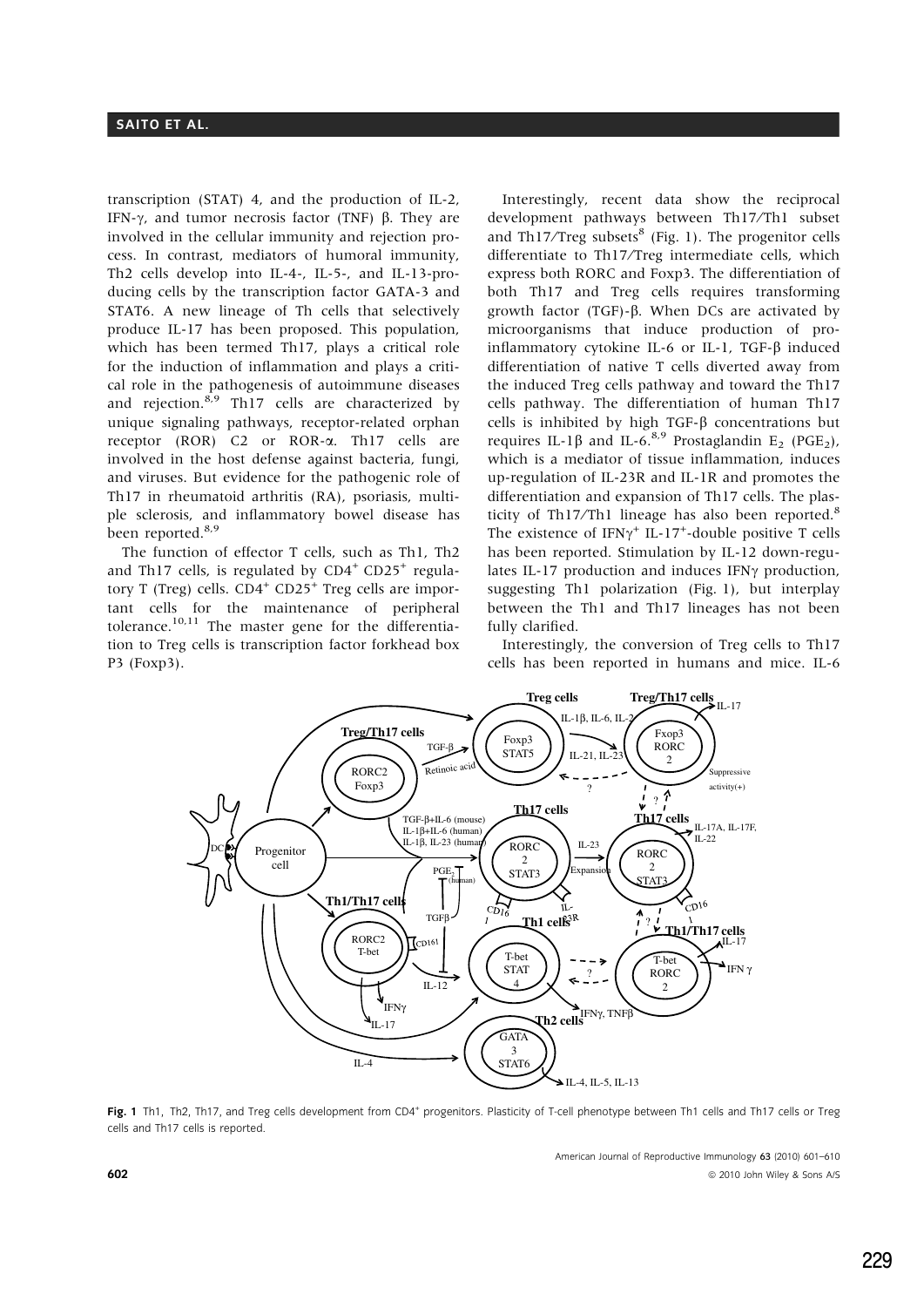transcription (STAT) 4, and the production of IL-2, IFN- $\gamma$ , and tumor necrosis factor (TNF)  $\beta$ . They are involved in the cellular immunity and rejection process. In contrast, mediators of humoral immunity, Th2 cells develop into IL-4-, IL-5-, and IL-13-producing cells by the transcription factor GATA-3 and STAT6. A new lineage of Th cells that selectively produce IL-17 has been proposed. This population, which has been termed Th17, plays a critical role for the induction of inflammation and plays a critical role in the pathogenesis of autoimmune diseases and rejection.<sup>8,9</sup> Th17 cells are characterized by unique signaling pathways, receptor-related orphan receptor (ROR) C2 or ROR-a. Th17 cells are involved in the host defense against bacteria, fungi, and viruses. But evidence for the pathogenic role of Th17 in rheumatoid arthritis (RA), psoriasis, multiple sclerosis, and inflammatory bowel disease has been reported.<sup>8,9</sup>

The function of effector T cells, such as Th1, Th2 and Th17 cells, is regulated by  $CD4^+$  CD25<sup>+</sup> regulatory T (Treg) cells.  $CD4^+$   $CD25^+$  Treg cells are important cells for the maintenance of peripheral tolerance. $10,11$  The master gene for the differentiation to Treg cells is transcription factor forkhead box P3 (Foxp3).

Interestingly, recent data show the reciprocal development pathways between Th17/Th1 subset and Th17/Treg subsets<sup>8</sup> (Fig. 1). The progenitor cells differentiate to Th17/Treg intermediate cells, which express both RORC and Foxp3. The differentiation of both Th17 and Treg cells requires transforming growth factor (TGF)- $\beta$ . When DCs are activated by microorganisms that induce production of proinflammatory cytokine IL-6 or IL-1, TGF- $\beta$  induced differentiation of native T cells diverted away from the induced Treg cells pathway and toward the Th17 cells pathway. The differentiation of human Th17 cells is inhibited by high TGF- $\beta$  concentrations but requires IL-1 $\beta$  and IL-6.<sup>8,9</sup> Prostaglandin E<sub>2</sub> (PGE<sub>2</sub>), which is a mediator of tissue inflammation, induces up-regulation of IL-23R and IL-1R and promotes the differentiation and expansion of Th17 cells. The plasticity of Th17/Th1 lineage has also been reported.<sup>8</sup> The existence of IFN $\gamma^+$  IL-17<sup>+</sup>-double positive T cells has been reported. Stimulation by IL-12 down-regulates IL-17 production and induces IFN $\gamma$  production, suggesting Th1 polarization (Fig. 1), but interplay between the Th1 and Th17 lineages has not been fully clarified.

Interestingly, the conversion of Treg cells to Th17 cells has been reported in humans and mice. IL-6



Fig. 1 Th1, Th2, Th17, and Treg cells development from CD4<sup>+</sup> progenitors. Plasticity of T-cell phenotype between Th1 cells and Th17 cells or Treg cells and Th17 cells is reported.

American Journal of Reproductive Immunology 63 (2010) 601–610 **602 2010 John Wiley & Sons A/S**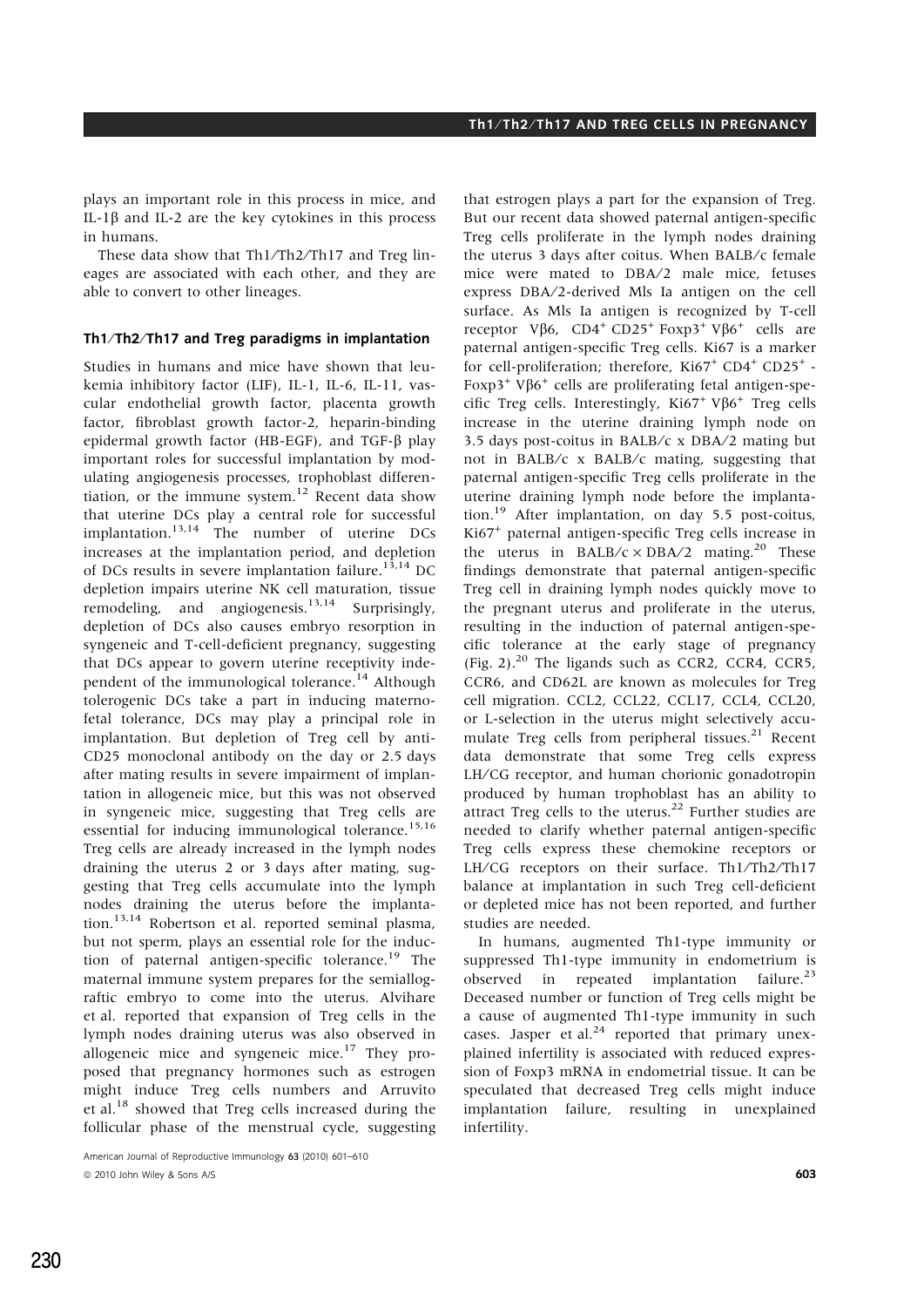plays an important role in this process in mice, and IL-1 $\beta$  and IL-2 are the key cytokines in this process in humans.

These data show that Th1/Th2/Th17 and Treg lineages are associated with each other, and they are able to convert to other lineages.

## Th1/Th2/Th17 and Treg paradigms in implantation

Studies in humans and mice have shown that leukemia inhibitory factor (LIF), IL-1, IL-6, IL-11, vascular endothelial growth factor, placenta growth factor, fibroblast growth factor-2, heparin-binding epidermal growth factor (HB-EGF), and TGF- $\beta$  play important roles for successful implantation by modulating angiogenesis processes, trophoblast differentiation, or the immune system.<sup>12</sup> Recent data show that uterine DCs play a central role for successful implantation.<sup>13,14</sup> The number of uterine DCs increases at the implantation period, and depletion of DCs results in severe implantation failure.<sup>13,14</sup> DC depletion impairs uterine NK cell maturation, tissue remodeling, and angiogenesis. $13,14$  Surprisingly, depletion of DCs also causes embryo resorption in syngeneic and T-cell-deficient pregnancy, suggesting that DCs appear to govern uterine receptivity independent of the immunological tolerance.<sup>14</sup> Although tolerogenic DCs take a part in inducing maternofetal tolerance, DCs may play a principal role in implantation. But depletion of Treg cell by anti-CD25 monoclonal antibody on the day or 2.5 days after mating results in severe impairment of implantation in allogeneic mice, but this was not observed in syngeneic mice, suggesting that Treg cells are essential for inducing immunological tolerance.<sup>15,16</sup> Treg cells are already increased in the lymph nodes draining the uterus 2 or 3 days after mating, suggesting that Treg cells accumulate into the lymph nodes draining the uterus before the implantation.13,14 Robertson et al. reported seminal plasma, but not sperm, plays an essential role for the induction of paternal antigen-specific tolerance.<sup>19</sup> The maternal immune system prepares for the semiallograftic embryo to come into the uterus. Alvihare et al. reported that expansion of Treg cells in the lymph nodes draining uterus was also observed in allogeneic mice and syngeneic mice.<sup>17</sup> They proposed that pregnancy hormones such as estrogen might induce Treg cells numbers and Arruvito et al.<sup>18</sup> showed that Treg cells increased during the follicular phase of the menstrual cycle, suggesting

American Journal of Reproductive Immunology 63 (2010) 601–610  $\degree$  2010 John Wiley & Sons A/S 603

that estrogen plays a part for the expansion of Treg. But our recent data showed paternal antigen-specific Treg cells proliferate in the lymph nodes draining the uterus 3 days after coitus. When BALB/c female mice were mated to DBA/2 male mice, fetuses express DBA/2-derived Mls Ia antigen on the cell surface. As Mls Ia antigen is recognized by T-cell receptor V $\beta$ 6, CD4<sup>+</sup> CD25<sup>+</sup> Foxp3<sup>+</sup> V $\beta$ 6<sup>+</sup> cells are paternal antigen-specific Treg cells. Ki67 is a marker for cell-proliferation; therefore, Ki67<sup>+</sup> CD4<sup>+</sup> CD25<sup>+</sup> -Foxp3<sup>+</sup> V $\beta$ 6<sup>+</sup> cells are proliferating fetal antigen-specific Treg cells. Interestingly,  $Ki67<sup>+</sup> Vβ6<sup>+</sup> Treg$  cells increase in the uterine draining lymph node on 3.5 days post-coitus in BALB/ $c$  x DBA/2 mating but not in BALB/c x BALB/c mating, suggesting that paternal antigen-specific Treg cells proliferate in the uterine draining lymph node before the implantation.19 After implantation, on day 5.5 post-coitus, Ki67+ paternal antigen-specific Treg cells increase in the uterus in BALB/ $c \times DBA/2$  mating.<sup>20</sup> These findings demonstrate that paternal antigen-specific Treg cell in draining lymph nodes quickly move to the pregnant uterus and proliferate in the uterus, resulting in the induction of paternal antigen-specific tolerance at the early stage of pregnancy (Fig. 2). $^{20}$  The ligands such as CCR2, CCR4, CCR5, CCR6, and CD62L are known as molecules for Treg cell migration. CCL2, CCL22, CCL17, CCL4, CCL20, or L-selection in the uterus might selectively accumulate Treg cells from peripheral tissues.<sup>21</sup> Recent data demonstrate that some Treg cells express LH/CG receptor, and human chorionic gonadotropin produced by human trophoblast has an ability to attract Treg cells to the uterus.<sup>22</sup> Further studies are needed to clarify whether paternal antigen-specific Treg cells express these chemokine receptors or LH/CG receptors on their surface. Th1/Th2/Th17 balance at implantation in such Treg cell-deficient or depleted mice has not been reported, and further studies are needed.

In humans, augmented Th1-type immunity or suppressed Th1-type immunity in endometrium is observed in repeated implantation failure. $^{23}$ Deceased number or function of Treg cells might be a cause of augmented Th1-type immunity in such cases. Jasper et al. $^{24}$  reported that primary unexplained infertility is associated with reduced expression of Foxp3 mRNA in endometrial tissue. It can be speculated that decreased Treg cells might induce implantation failure, resulting in unexplained infertility.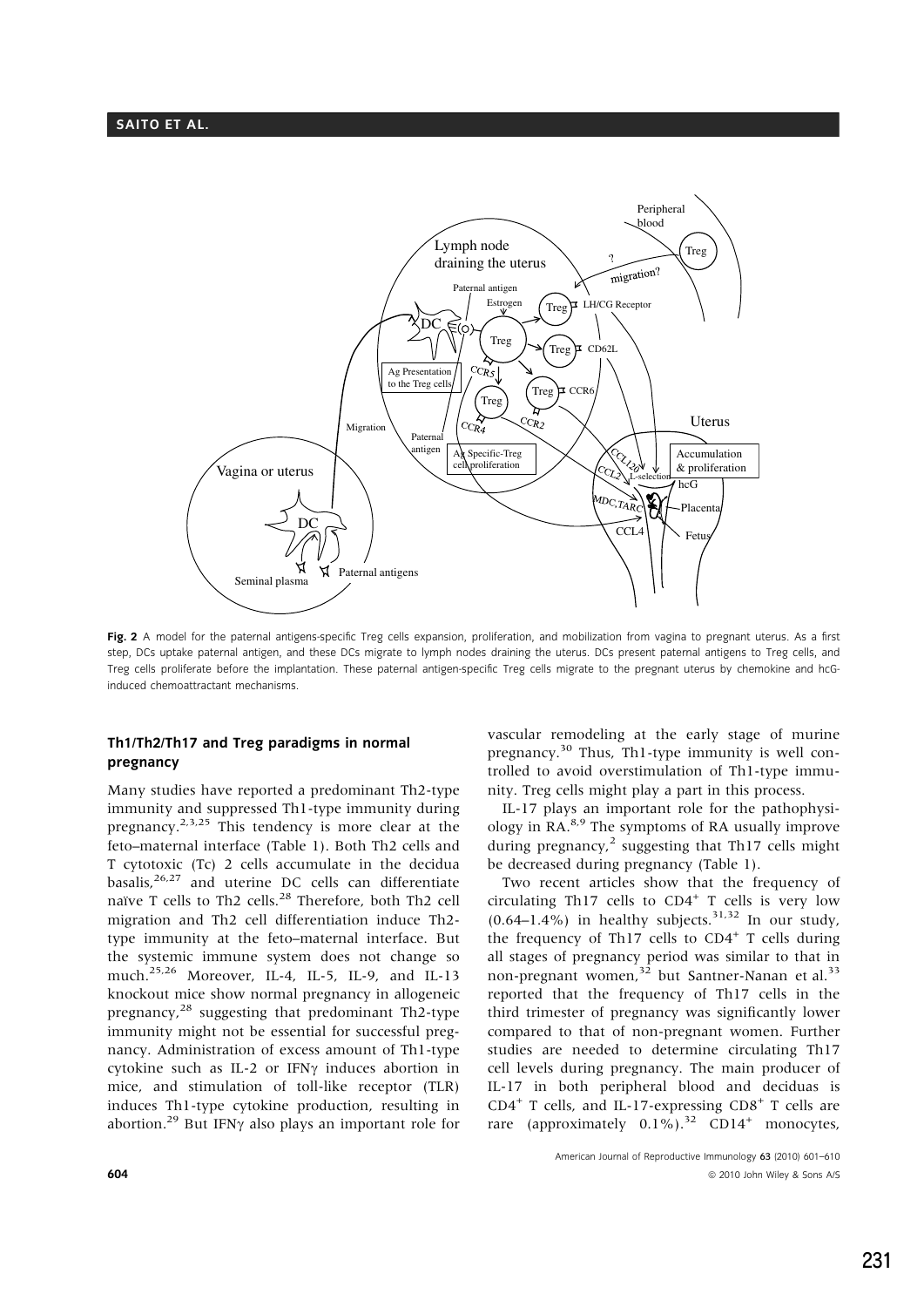

Fig. 2 A model for the paternal antigens-specific Treg cells expansion, proliferation, and mobilization from vagina to pregnant uterus. As a first step, DCs uptake paternal antigen, and these DCs migrate to lymph nodes draining the uterus. DCs present paternal antigens to Treg cells, and Treg cells proliferate before the implantation. These paternal antigen-specific Treg cells migrate to the pregnant uterus by chemokine and hcGinduced chemoattractant mechanisms.

## Th1/Th2/Th17 and Treg paradigms in normal pregnancy

Many studies have reported a predominant Th2-type immunity and suppressed Th1-type immunity during pregnancy. $^{2,3,25}$  This tendency is more clear at the feto–maternal interface (Table 1). Both Th2 cells and T cytotoxic (Tc) 2 cells accumulate in the decidua basalis,<sup>26,27</sup> and uterine DC cells can differentiate naïve T cells to Th2 cells.<sup>28</sup> Therefore, both Th2 cell migration and Th2 cell differentiation induce Th2 type immunity at the feto–maternal interface. But the systemic immune system does not change so much.<sup>25,26</sup> Moreover, IL-4, IL-5, IL-9, and IL-13 knockout mice show normal pregnancy in allogeneic pregnancy,<sup>28</sup> suggesting that predominant Th2-type immunity might not be essential for successful pregnancy. Administration of excess amount of Th1-type cytokine such as IL-2 or IFN $\gamma$  induces abortion in mice, and stimulation of toll-like receptor (TLR) induces Th1-type cytokine production, resulting in abortion.<sup>29</sup> But IFN<sub>Y</sub> also plays an important role for vascular remodeling at the early stage of murine pregnancy.<sup>30</sup> Thus, Th1-type immunity is well controlled to avoid overstimulation of Th1-type immunity. Treg cells might play a part in this process.

IL-17 plays an important role for the pathophysiology in RA.8,9 The symptoms of RA usually improve during pregnancy,<sup>2</sup> suggesting that Th17 cells might be decreased during pregnancy (Table 1).

Two recent articles show that the frequency of circulating Th17 cells to  $CD4^+$  T cells is very low  $(0.64-1.4\%)$  in healthy subjects.<sup>31,32</sup> In our study, the frequency of Th17 cells to  $CD4^+$  T cells during all stages of pregnancy period was similar to that in non-pregnant women,<sup>32</sup> but Santner-Nanan et al.<sup>33</sup> reported that the frequency of Th17 cells in the third trimester of pregnancy was significantly lower compared to that of non-pregnant women. Further studies are needed to determine circulating Th17 cell levels during pregnancy. The main producer of IL-17 in both peripheral blood and deciduas is  $CD4^+$  T cells, and IL-17-expressing  $CD8^+$  T cells are rare (approximately  $0.1\%$ ).<sup>32</sup> CD14<sup>+</sup> monocytes,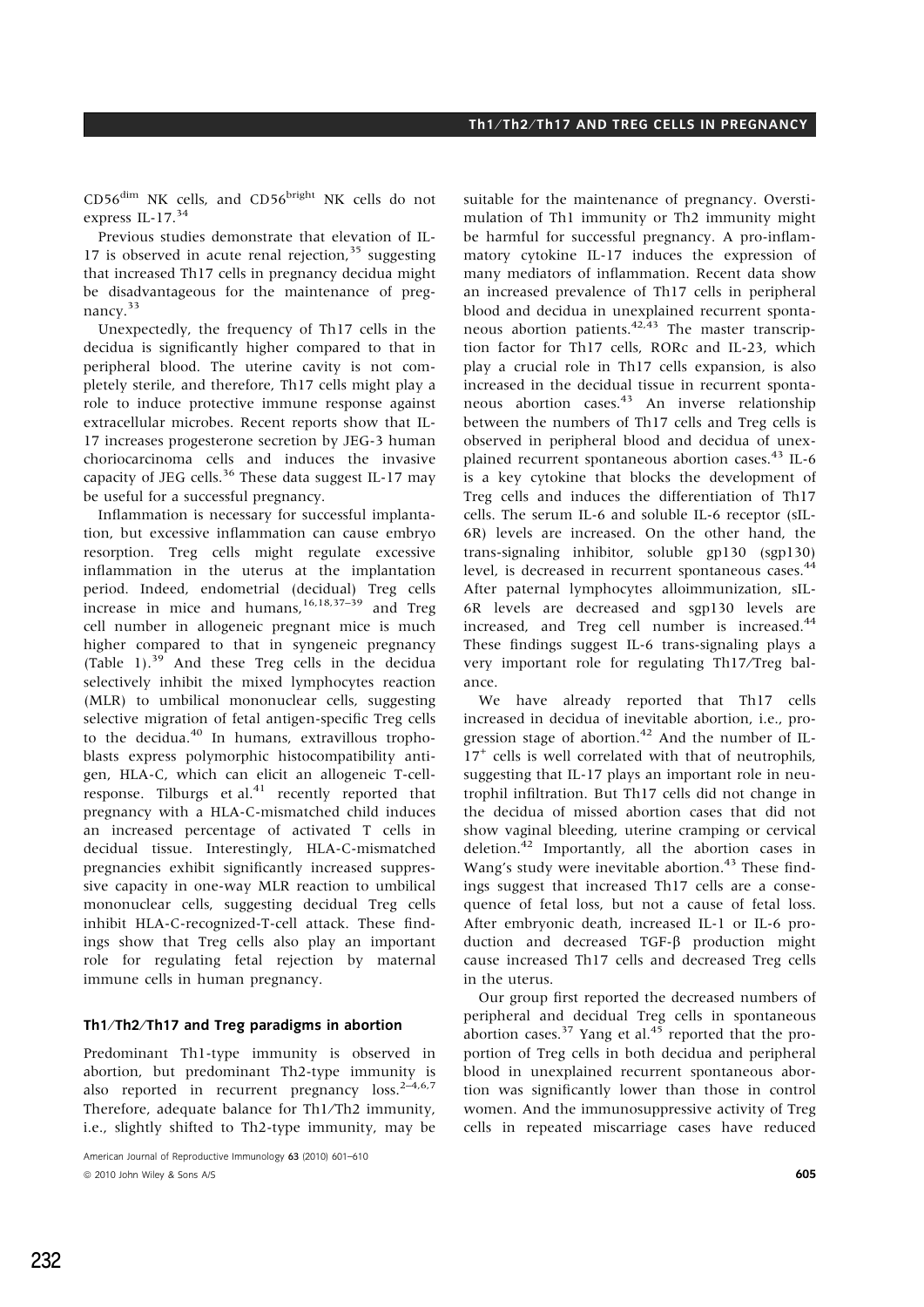#### Th1/Th2/Th17 AND TREG CELLS IN PREGNANCY

CD56<sup>dim</sup> NK cells, and CD56<sup>bright</sup> NK cells do not express IL-17.<sup>34</sup>

Previous studies demonstrate that elevation of IL-17 is observed in acute renal rejection,  $35$  suggesting that increased Th17 cells in pregnancy decidua might be disadvantageous for the maintenance of pregnancy.<sup>33</sup>

Unexpectedly, the frequency of Th17 cells in the decidua is significantly higher compared to that in peripheral blood. The uterine cavity is not completely sterile, and therefore, Th17 cells might play a role to induce protective immune response against extracellular microbes. Recent reports show that IL-17 increases progesterone secretion by JEG-3 human choriocarcinoma cells and induces the invasive capacity of JEG cells.<sup>36</sup> These data suggest IL-17 may be useful for a successful pregnancy.

Inflammation is necessary for successful implantation, but excessive inflammation can cause embryo resorption. Treg cells might regulate excessive inflammation in the uterus at the implantation period. Indeed, endometrial (decidual) Treg cells increase in mice and humans,<sup>16,18,37–39</sup> and Treg cell number in allogeneic pregnant mice is much higher compared to that in syngeneic pregnancy (Table 1).<sup>39</sup> And these Treg cells in the decidua selectively inhibit the mixed lymphocytes reaction (MLR) to umbilical mononuclear cells, suggesting selective migration of fetal antigen-specific Treg cells to the decidua.<sup>40</sup> In humans, extravillous trophoblasts express polymorphic histocompatibility antigen, HLA-C, which can elicit an allogeneic T-cellresponse. Tilburgs et al. $41$  recently reported that pregnancy with a HLA-C-mismatched child induces an increased percentage of activated T cells in decidual tissue. Interestingly, HLA-C-mismatched pregnancies exhibit significantly increased suppressive capacity in one-way MLR reaction to umbilical mononuclear cells, suggesting decidual Treg cells inhibit HLA-C-recognized-T-cell attack. These findings show that Treg cells also play an important role for regulating fetal rejection by maternal immune cells in human pregnancy.

## Th1/Th2/Th17 and Treg paradigms in abortion

Predominant Th1-type immunity is observed in abortion, but predominant Th2-type immunity is also reported in recurrent pregnancy loss.<sup>2-4,6,7</sup> Therefore, adequate balance for Th1/Th2 immunity, i.e., slightly shifted to Th2-type immunity, may be

American Journal of Reproductive Immunology 63 (2010) 601–610  $\circledcirc$  2010 John Wiley & Sons A/S 605

suitable for the maintenance of pregnancy. Overstimulation of Th1 immunity or Th2 immunity might be harmful for successful pregnancy. A pro-inflammatory cytokine IL-17 induces the expression of many mediators of inflammation. Recent data show an increased prevalence of Th17 cells in peripheral blood and decidua in unexplained recurrent spontaneous abortion patients. $42,43$  The master transcription factor for Th17 cells, RORc and IL-23, which play a crucial role in Th17 cells expansion, is also increased in the decidual tissue in recurrent spontaneous abortion cases.<sup>43</sup> An inverse relationship between the numbers of Th17 cells and Treg cells is observed in peripheral blood and decidua of unexplained recurrent spontaneous abortion cases.<sup>43</sup> IL-6 is a key cytokine that blocks the development of Treg cells and induces the differentiation of Th17 cells. The serum IL-6 and soluble IL-6 receptor (sIL-6R) levels are increased. On the other hand, the trans-signaling inhibitor, soluble gp130 (sgp130) level, is decreased in recurrent spontaneous cases.<sup>44</sup> After paternal lymphocytes alloimmunization, sIL-6R levels are decreased and sgp130 levels are increased, and Treg cell number is increased.<sup>44</sup> These findings suggest IL-6 trans-signaling plays a very important role for regulating Th17/Treg balance.

We have already reported that Th17 cells increased in decidua of inevitable abortion, i.e., progression stage of abortion.<sup>42</sup> And the number of IL-17<sup>+</sup> cells is well correlated with that of neutrophils, suggesting that IL-17 plays an important role in neutrophil infiltration. But Th17 cells did not change in the decidua of missed abortion cases that did not show vaginal bleeding, uterine cramping or cervical deletion.42 Importantly, all the abortion cases in Wang's study were inevitable abortion.<sup>43</sup> These findings suggest that increased Th17 cells are a consequence of fetal loss, but not a cause of fetal loss. After embryonic death, increased IL-1 or IL-6 production and decreased TGF- $\beta$  production might cause increased Th17 cells and decreased Treg cells in the uterus.

Our group first reported the decreased numbers of peripheral and decidual Treg cells in spontaneous abortion cases. $37$  Yang et al.<sup>45</sup> reported that the proportion of Treg cells in both decidua and peripheral blood in unexplained recurrent spontaneous abortion was significantly lower than those in control women. And the immunosuppressive activity of Treg cells in repeated miscarriage cases have reduced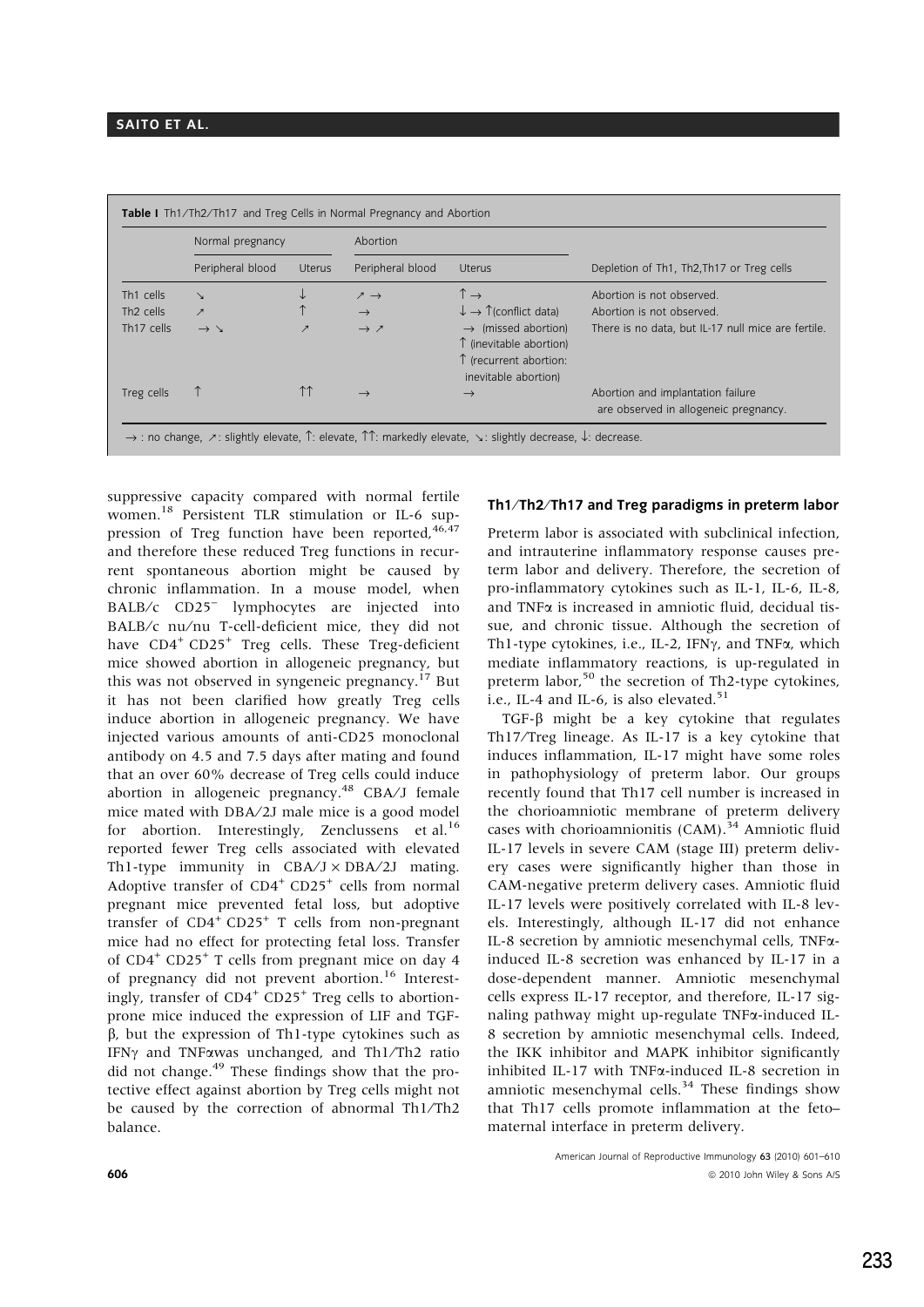|                        | Normal pregnancy         |                     | Abortion              |                                                                                                              |                                                                            |
|------------------------|--------------------------|---------------------|-----------------------|--------------------------------------------------------------------------------------------------------------|----------------------------------------------------------------------------|
|                        | Peripheral blood         | <b>Uterus</b>       | Peripheral blood      | <b>Uterus</b>                                                                                                | Depletion of Th1, Th2, Th17 or Treg cells                                  |
| Th <sub>1</sub> cells  | $\checkmark$             |                     | $\lambda \rightarrow$ | $\uparrow \rightarrow$                                                                                       | Abortion is not observed.                                                  |
| Th <sub>2</sub> cells  | $\overline{\phantom{a}}$ |                     | $\rightarrow$         | $\downarrow \rightarrow \uparrow$ (conflict data)                                                            | Abortion is not observed.                                                  |
| Th <sub>17</sub> cells | $\rightarrow \vee$       |                     | $\rightarrow$ 1       | $\rightarrow$ (missed abortion)<br>T (inevitable abortion)<br>1 (recurrent abortion:<br>inevitable abortion) | There is no data, but IL-17 null mice are fertile.                         |
| Treg cells             |                          | $\uparrow \uparrow$ | $\rightarrow$         | $\rightarrow$                                                                                                | Abortion and implantation failure<br>are observed in allogeneic pregnancy. |

suppressive capacity compared with normal fertile women.18 Persistent TLR stimulation or IL-6 suppression of Treg function have been reported, 46,47 and therefore these reduced Treg functions in recurrent spontaneous abortion might be caused by chronic inflammation. In a mouse model, when BALB/c CD25<sup>-</sup> lymphocytes are injected into BALB/c nu/nu T-cell-deficient mice, they did not have CD4<sup>+</sup> CD25<sup>+</sup> Treg cells. These Treg-deficient mice showed abortion in allogeneic pregnancy, but this was not observed in syngeneic pregnancy.<sup>17</sup> But it has not been clarified how greatly Treg cells induce abortion in allogeneic pregnancy. We have injected various amounts of anti-CD25 monoclonal antibody on 4.5 and 7.5 days after mating and found that an over 60% decrease of Treg cells could induce abortion in allogeneic pregnancy.<sup>48</sup> CBA/J female mice mated with DBA/2J male mice is a good model for abortion. Interestingly, Zenclussens et al.<sup>16</sup> reported fewer Treg cells associated with elevated Th1-type immunity in  $CBA/J \times DBA/2J$  mating. Adoptive transfer of  $CD4^+$   $CD25^+$  cells from normal pregnant mice prevented fetal loss, but adoptive transfer of  $CD4^+$   $CD25^+$  T cells from non-pregnant mice had no effect for protecting fetal loss. Transfer of CD4+ CD25<sup>+</sup> T cells from pregnant mice on day 4 of pregnancy did not prevent abortion.<sup>16</sup> Interestingly, transfer of  $CD4^+$   $CD25^+$  Treg cells to abortionprone mice induced the expression of LIF and TGF- $\beta$ , but the expression of Th1-type cytokines such as IFN $\gamma$  and TNF $\alpha$ was unchanged, and Th1/Th2 ratio did not change.<sup>49</sup> These findings show that the protective effect against abortion by Treg cells might not be caused by the correction of abnormal Th1/Th2 balance.

# Th1/Th2/Th17 and Treg paradigms in preterm labor

Preterm labor is associated with subclinical infection, and intrauterine inflammatory response causes preterm labor and delivery. Therefore, the secretion of pro-inflammatory cytokines such as IL-1, IL-6, IL-8, and TNFa is increased in amniotic fluid, decidual tissue, and chronic tissue. Although the secretion of Th1-type cytokines, i.e., IL-2, IFN $\gamma$ , and TNF $\alpha$ , which mediate inflammatory reactions, is up-regulated in preterm labor,<sup>50</sup> the secretion of Th2-type cytokines, i.e., IL-4 and IL-6, is also elevated.<sup>51</sup>

 $TGF- $\beta$  might be a key cytokine that regulates$ Th17/Treg lineage. As IL-17 is a key cytokine that induces inflammation, IL-17 might have some roles in pathophysiology of preterm labor. Our groups recently found that Th17 cell number is increased in the chorioamniotic membrane of preterm delivery cases with chorioamnionitis  $(CAM)^{34}$  Amniotic fluid IL-17 levels in severe CAM (stage III) preterm delivery cases were significantly higher than those in CAM-negative preterm delivery cases. Amniotic fluid IL-17 levels were positively correlated with IL-8 levels. Interestingly, although IL-17 did not enhance IL-8 secretion by amniotic mesenchymal cells, TNFainduced IL-8 secretion was enhanced by IL-17 in a dose-dependent manner. Amniotic mesenchymal cells express IL-17 receptor, and therefore, IL-17 signaling pathway might up-regulate TNFa-induced IL-8 secretion by amniotic mesenchymal cells. Indeed, the IKK inhibitor and MAPK inhibitor significantly inhibited IL-17 with TNFa-induced IL-8 secretion in amniotic mesenchymal cells. $34$  These findings show that Th17 cells promote inflammation at the feto– maternal interface in preterm delivery.

American Journal of Reproductive Immunology 63 (2010) 601–610 **606 2010** John Wiley & Sons A/S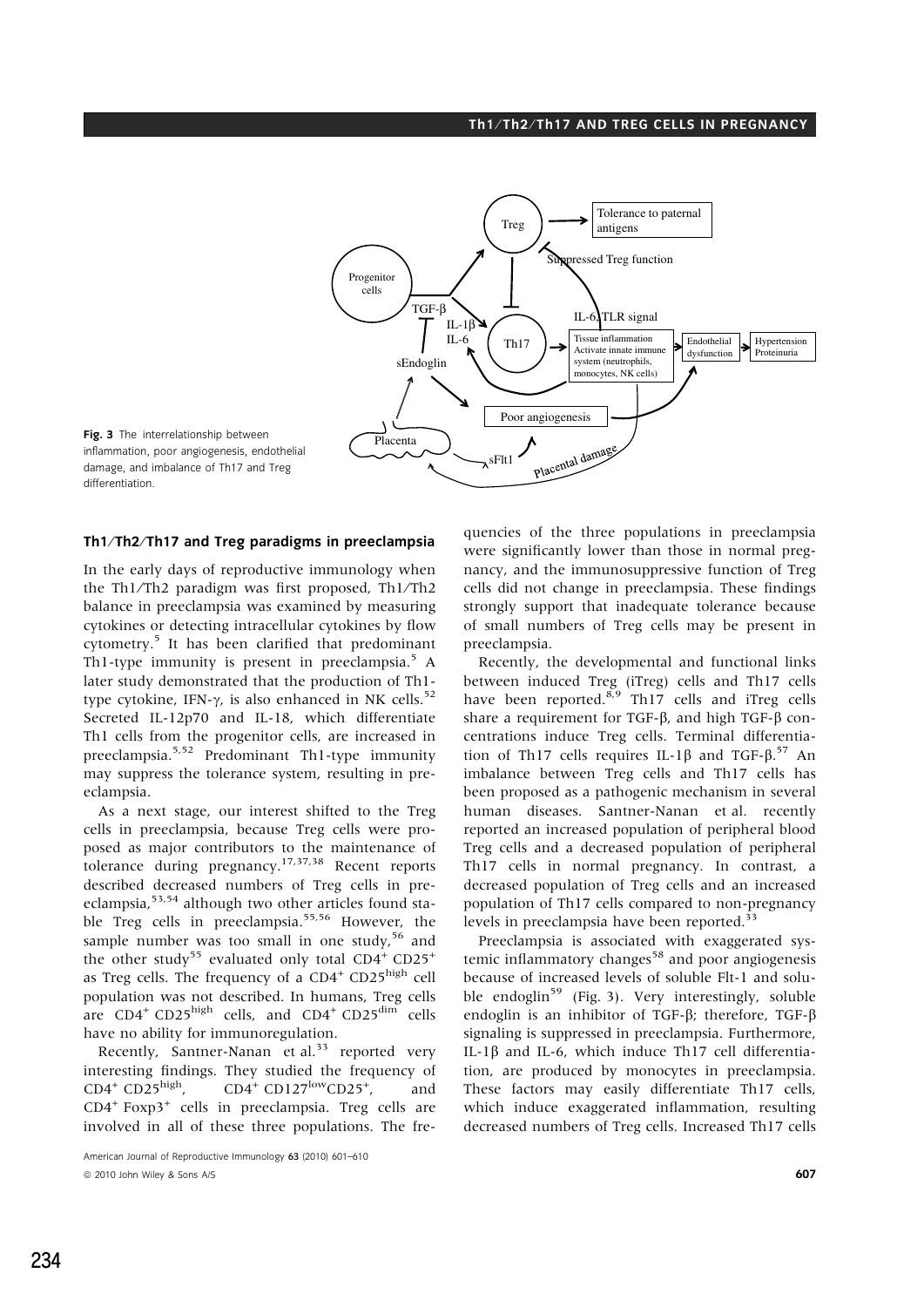

#### Th1/Th2/Th17 and Treg paradigms in preeclampsia

In the early days of reproductive immunology when the Th1/Th2 paradigm was first proposed, Th1/Th2 balance in preeclampsia was examined by measuring cytokines or detecting intracellular cytokines by flow cytometry.<sup>5</sup> It has been clarified that predominant Th1-type immunity is present in preeclampsia. $5$  A later study demonstrated that the production of Th1 type cytokine, IFN- $\gamma$ , is also enhanced in NK cells.<sup>52</sup> Secreted IL-12p70 and IL-18, which differentiate Th1 cells from the progenitor cells, are increased in preeclampsia.5,52 Predominant Th1-type immunity may suppress the tolerance system, resulting in preeclampsia.

As a next stage, our interest shifted to the Treg cells in preeclampsia, because Treg cells were proposed as major contributors to the maintenance of tolerance during pregnancy.<sup>17,37,38</sup> Recent reports described decreased numbers of Treg cells in preeclampsia,<sup>53,54</sup> although two other articles found stable Treg cells in preeclampsia.<sup>55,56</sup> However, the sample number was too small in one study,<sup>56</sup> and the other study<sup>55</sup> evaluated only total  $CD4^+$   $CD25^+$ as Treg cells. The frequency of a  $CD4^+$   $CD25^{\text{high}}$  cell population was not described. In humans, Treg cells are  $CD4^+$  CD25<sup>high</sup> cells, and  $CD4^+$  CD25<sup>dim</sup> cells have no ability for immunoregulation.

Recently, Santner-Nanan et al.<sup>33</sup> reported very interesting findings. They studied the frequency of  $CD4^+$   $CD25^{\text{high}}$ ,  $CD4^+$   $CD127^{\text{low}}$  $CD25^+$ , and  $CD4^+$  CD127<sup>low</sup>CD25<sup>+</sup>, , and CD4+ Foxp3<sup>+</sup> cells in preeclampsia. Treg cells are involved in all of these three populations. The fre-

American Journal of Reproductive Immunology 63 (2010) 601–610  $\circledcirc$  2010 John Wiley & Sons A/S 607

quencies of the three populations in preeclampsia were significantly lower than those in normal pregnancy, and the immunosuppressive function of Treg cells did not change in preeclampsia. These findings strongly support that inadequate tolerance because of small numbers of Treg cells may be present in preeclampsia.

Recently, the developmental and functional links between induced Treg (iTreg) cells and Th17 cells have been reported.<sup>8,9</sup> Th17 cells and iTreg cells share a requirement for TGF- $\beta$ , and high TGF- $\beta$  concentrations induce Treg cells. Terminal differentiation of Th17 cells requires IL-1 $\beta$  and TGF- $\beta$ .<sup>57</sup> An imbalance between Treg cells and Th17 cells has been proposed as a pathogenic mechanism in several human diseases. Santner-Nanan et al. recently reported an increased population of peripheral blood Treg cells and a decreased population of peripheral Th17 cells in normal pregnancy. In contrast, a decreased population of Treg cells and an increased population of Th17 cells compared to non-pregnancy levels in preeclampsia have been reported.<sup>33</sup>

Preeclampsia is associated with exaggerated systemic inflammatory changes<sup>58</sup> and poor angiogenesis because of increased levels of soluble Flt-1 and soluble endoglin<sup>59</sup> (Fig. 3). Very interestingly, soluble endoglin is an inhibitor of TGF- $\beta$ ; therefore, TGF- $\beta$ signaling is suppressed in preeclampsia. Furthermore, IL-1 $\beta$  and IL-6, which induce Th17 cell differentiation, are produced by monocytes in preeclampsia. These factors may easily differentiate Th17 cells, which induce exaggerated inflammation, resulting decreased numbers of Treg cells. Increased Th17 cells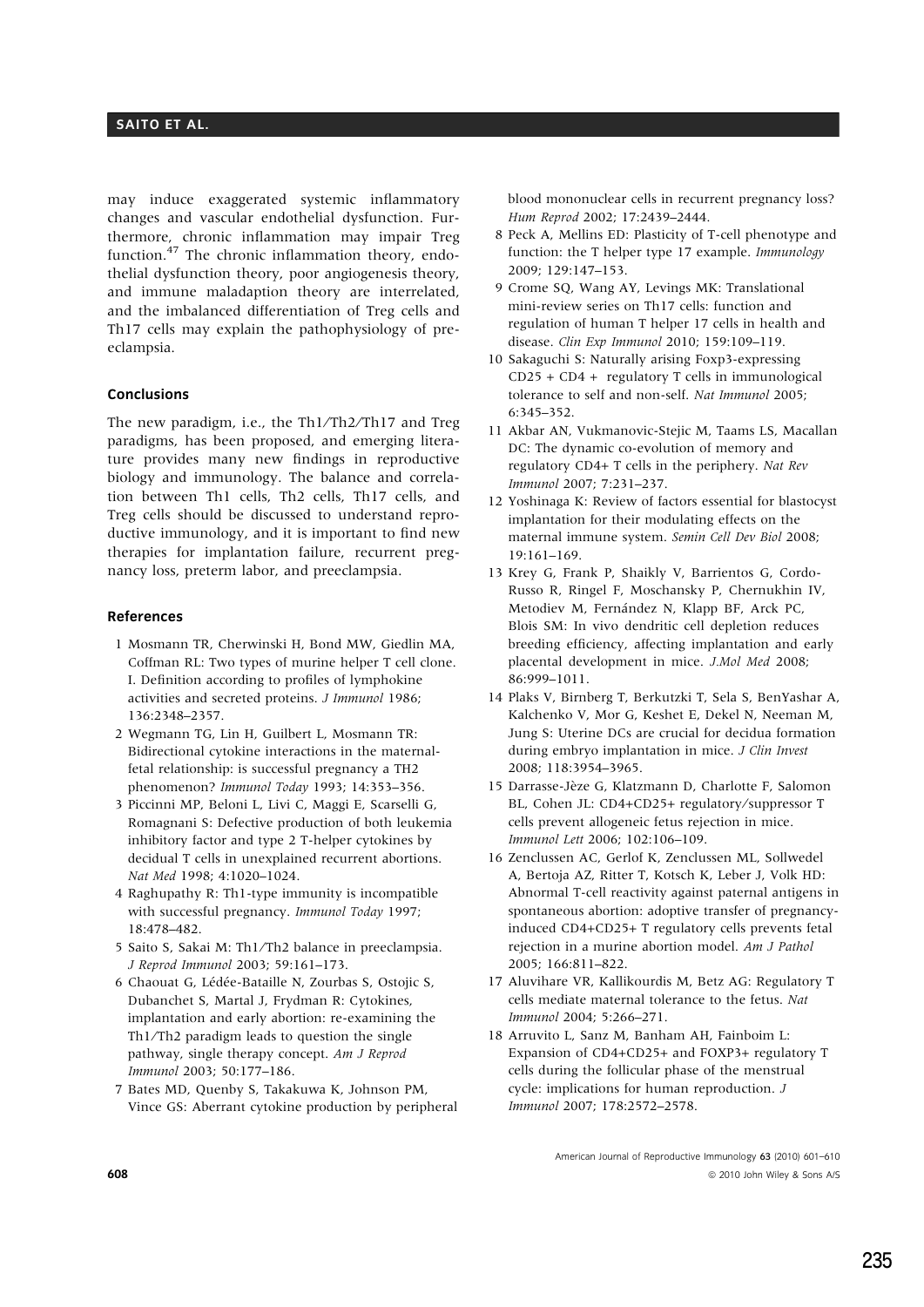may induce exaggerated systemic inflammatory changes and vascular endothelial dysfunction. Furthermore, chronic inflammation may impair Treg function.<sup>47</sup> The chronic inflammation theory, endothelial dysfunction theory, poor angiogenesis theory, and immune maladaption theory are interrelated, and the imbalanced differentiation of Treg cells and Th17 cells may explain the pathophysiology of preeclampsia.

### Conclusions

The new paradigm, i.e., the Th1/Th2/Th17 and Treg paradigms, has been proposed, and emerging literature provides many new findings in reproductive biology and immunology. The balance and correlation between Th1 cells, Th2 cells, Th17 cells, and Treg cells should be discussed to understand reproductive immunology, and it is important to find new therapies for implantation failure, recurrent pregnancy loss, preterm labor, and preeclampsia.

#### References

- 1 Mosmann TR, Cherwinski H, Bond MW, Giedlin MA, Coffman RL: Two types of murine helper T cell clone. I. Definition according to profiles of lymphokine activities and secreted proteins. J Immunol 1986; 136:2348–2357.
- 2 Wegmann TG, Lin H, Guilbert L, Mosmann TR: Bidirectional cytokine interactions in the maternalfetal relationship: is successful pregnancy a TH2 phenomenon? Immunol Today 1993; 14:353–356.
- 3 Piccinni MP, Beloni L, Livi C, Maggi E, Scarselli G, Romagnani S: Defective production of both leukemia inhibitory factor and type 2 T-helper cytokines by decidual T cells in unexplained recurrent abortions. Nat Med 1998; 4:1020–1024.
- 4 Raghupathy R: Th1-type immunity is incompatible with successful pregnancy. Immunol Today 1997; 18:478–482.
- 5 Saito S, Sakai M: Th1/Th2 balance in preeclampsia. J Reprod Immunol 2003; 59:161–173.
- 6 Chaouat G, Lédée-Bataille N, Zourbas S, Ostojic S, Dubanchet S, Martal J, Frydman R: Cytokines, implantation and early abortion: re-examining the Th1/Th2 paradigm leads to question the single pathway, single therapy concept. Am J Reprod Immunol 2003; 50:177–186.
- 7 Bates MD, Quenby S, Takakuwa K, Johnson PM, Vince GS: Aberrant cytokine production by peripheral

blood mononuclear cells in recurrent pregnancy loss? Hum Reprod 2002; 17:2439–2444.

- 8 Peck A, Mellins ED: Plasticity of T-cell phenotype and function: the T helper type 17 example. *Immunology* 2009; 129:147–153.
- 9 Crome SQ, Wang AY, Levings MK: Translational mini-review series on Th17 cells: function and regulation of human T helper 17 cells in health and disease. Clin Exp Immunol 2010; 159:109–119.
- 10 Sakaguchi S: Naturally arising Foxp3-expressing  $CD25 + CD4 + regularory T cells in immunological$ tolerance to self and non-self. Nat Immunol 2005; 6:345–352.
- 11 Akbar AN, Vukmanovic-Stejic M, Taams LS, Macallan DC: The dynamic co-evolution of memory and regulatory CD4+ T cells in the periphery. Nat Rev Immunol 2007; 7:231–237.
- 12 Yoshinaga K: Review of factors essential for blastocyst implantation for their modulating effects on the maternal immune system. Semin Cell Dev Biol 2008; 19:161–169.
- 13 Krey G, Frank P, Shaikly V, Barrientos G, Cordo-Russo R, Ringel F, Moschansky P, Chernukhin IV, Metodiev M, Fernández N, Klapp BF, Arck PC, Blois SM: In vivo dendritic cell depletion reduces breeding efficiency, affecting implantation and early placental development in mice. J.Mol Med 2008; 86:999–1011.
- 14 Plaks V, Birnberg T, Berkutzki T, Sela S, BenYashar A, Kalchenko V, Mor G, Keshet E, Dekel N, Neeman M, Jung S: Uterine DCs are crucial for decidua formation during embryo implantation in mice. J Clin Invest 2008; 118:3954–3965.
- 15 Darrasse-Jèze G, Klatzmann D, Charlotte F, Salomon BL, Cohen JL: CD4+CD25+ regulatory/suppressor T cells prevent allogeneic fetus rejection in mice. Immunol Lett 2006; 102:106–109.
- 16 Zenclussen AC, Gerlof K, Zenclussen ML, Sollwedel A, Bertoja AZ, Ritter T, Kotsch K, Leber J, Volk HD: Abnormal T-cell reactivity against paternal antigens in spontaneous abortion: adoptive transfer of pregnancyinduced CD4+CD25+ T regulatory cells prevents fetal rejection in a murine abortion model. Am J Pathol 2005; 166:811–822.
- 17 Aluvihare VR, Kallikourdis M, Betz AG: Regulatory T cells mediate maternal tolerance to the fetus. Nat Immunol 2004; 5:266–271.
- 18 Arruvito L, Sanz M, Banham AH, Fainboim L: Expansion of CD4+CD25+ and FOXP3+ regulatory T cells during the follicular phase of the menstrual cycle: implications for human reproduction. J Immunol 2007; 178:2572–2578.

American Journal of Reproductive Immunology 63 (2010) 601–610 **608 2010 John Wiley & Sons A/S CONSUMINE AND A 2010 John Wiley & Sons A/S**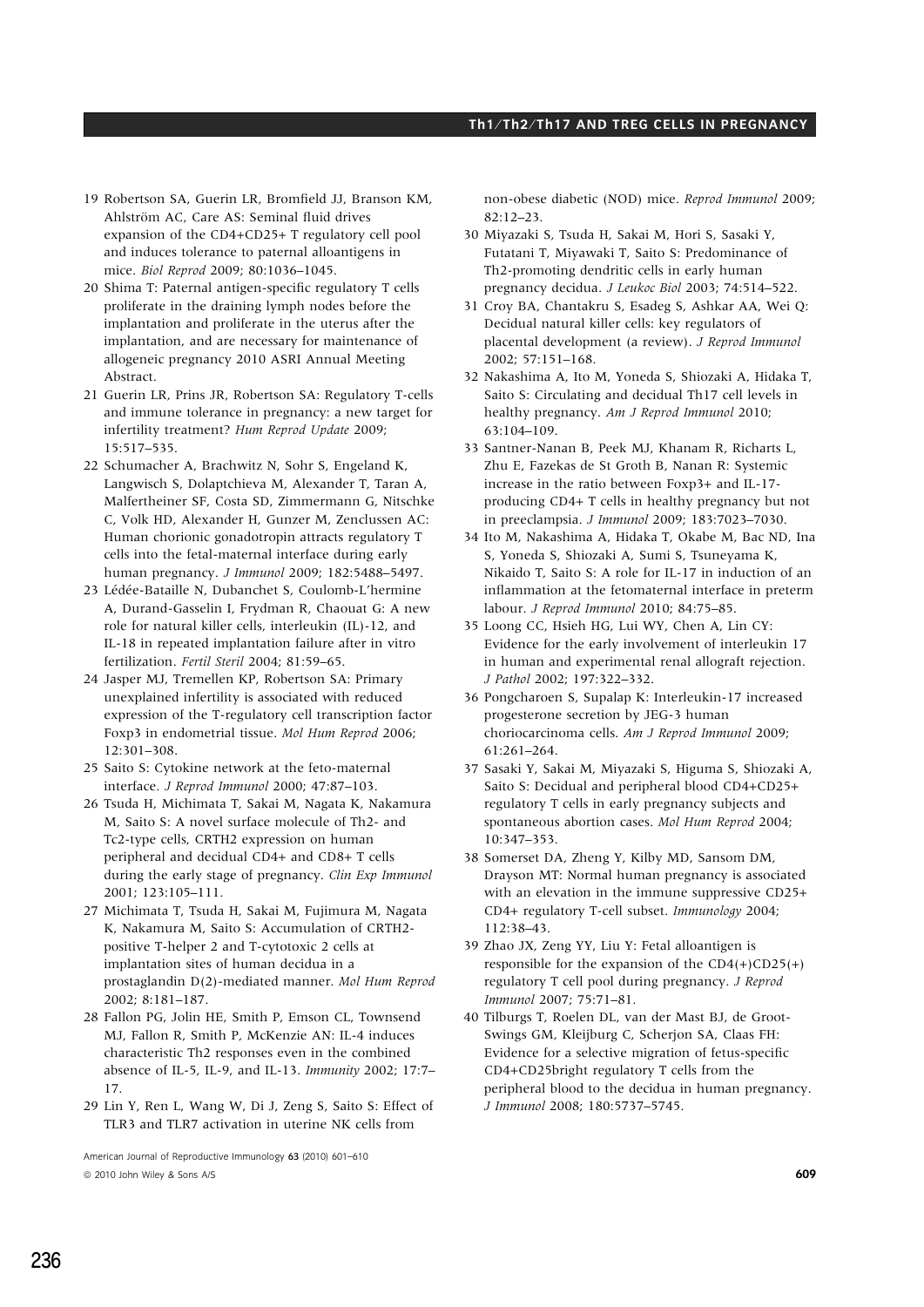## Th1/Th2/Th17 AND TREG CELLS IN PREGNANCY

- 19 Robertson SA, Guerin LR, Bromfield JJ, Branson KM, Ahlström AC, Care AS: Seminal fluid drives expansion of the CD4+CD25+ T regulatory cell pool and induces tolerance to paternal alloantigens in mice. Biol Reprod 2009; 80:1036–1045.
- 20 Shima T: Paternal antigen-specific regulatory T cells proliferate in the draining lymph nodes before the implantation and proliferate in the uterus after the implantation, and are necessary for maintenance of allogeneic pregnancy 2010 ASRI Annual Meeting Abstract.
- 21 Guerin LR, Prins JR, Robertson SA: Regulatory T-cells and immune tolerance in pregnancy: a new target for infertility treatment? Hum Reprod Update 2009; 15:517–535.
- 22 Schumacher A, Brachwitz N, Sohr S, Engeland K, Langwisch S, Dolaptchieva M, Alexander T, Taran A, Malfertheiner SF, Costa SD, Zimmermann G, Nitschke C, Volk HD, Alexander H, Gunzer M, Zenclussen AC: Human chorionic gonadotropin attracts regulatory T cells into the fetal-maternal interface during early human pregnancy. J Immunol 2009; 182:5488–5497.
- 23 Lédée-Bataille N, Dubanchet S, Coulomb-L'hermine A, Durand-Gasselin I, Frydman R, Chaouat G: A new role for natural killer cells, interleukin (IL)-12, and IL-18 in repeated implantation failure after in vitro fertilization. Fertil Steril 2004; 81:59–65.
- 24 Jasper MJ, Tremellen KP, Robertson SA: Primary unexplained infertility is associated with reduced expression of the T-regulatory cell transcription factor Foxp3 in endometrial tissue. Mol Hum Reprod 2006; 12:301–308.
- 25 Saito S: Cytokine network at the feto-maternal interface. J Reprod Immunol 2000; 47:87–103.
- 26 Tsuda H, Michimata T, Sakai M, Nagata K, Nakamura M, Saito S: A novel surface molecule of Th2- and Tc2-type cells, CRTH2 expression on human peripheral and decidual CD4+ and CD8+ T cells during the early stage of pregnancy. Clin Exp Immunol 2001; 123:105–111.
- 27 Michimata T, Tsuda H, Sakai M, Fujimura M, Nagata K, Nakamura M, Saito S: Accumulation of CRTH2 positive T-helper 2 and T-cytotoxic 2 cells at implantation sites of human decidua in a prostaglandin D(2)-mediated manner. Mol Hum Reprod 2002; 8:181–187.
- 28 Fallon PG, Jolin HE, Smith P, Emson CL, Townsend MJ, Fallon R, Smith P, McKenzie AN: IL-4 induces characteristic Th2 responses even in the combined absence of IL-5, IL-9, and IL-13. Immunity 2002; 17:7– 17.
- 29 Lin Y, Ren L, Wang W, Di J, Zeng S, Saito S: Effect of TLR3 and TLR7 activation in uterine NK cells from

American Journal of Reproductive Immunology 63 (2010) 601–610  $\degree$  2010 John Wiley & Sons A/S 609

non-obese diabetic (NOD) mice. Reprod Immunol 2009;  $82.12 - 23$ 

- 30 Miyazaki S, Tsuda H, Sakai M, Hori S, Sasaki Y, Futatani T, Miyawaki T, Saito S: Predominance of Th2-promoting dendritic cells in early human pregnancy decidua. J Leukoc Biol 2003; 74:514–522.
- 31 Croy BA, Chantakru S, Esadeg S, Ashkar AA, Wei Q: Decidual natural killer cells: key regulators of placental development (a review). J Reprod Immunol 2002; 57:151–168.
- 32 Nakashima A, Ito M, Yoneda S, Shiozaki A, Hidaka T, Saito S: Circulating and decidual Th17 cell levels in healthy pregnancy. Am J Reprod Immunol 2010; 63:104–109.
- 33 Santner-Nanan B, Peek MJ, Khanam R, Richarts L, Zhu E, Fazekas de St Groth B, Nanan R: Systemic increase in the ratio between Foxp3+ and IL-17 producing CD4+ T cells in healthy pregnancy but not in preeclampsia. J Immunol 2009; 183:7023–7030.
- 34 Ito M, Nakashima A, Hidaka T, Okabe M, Bac ND, Ina S, Yoneda S, Shiozaki A, Sumi S, Tsuneyama K, Nikaido T, Saito S: A role for IL-17 in induction of an inflammation at the fetomaternal interface in preterm labour. J Reprod Immunol 2010; 84:75–85.
- 35 Loong CC, Hsieh HG, Lui WY, Chen A, Lin CY: Evidence for the early involvement of interleukin 17 in human and experimental renal allograft rejection. J Pathol 2002; 197:322–332.
- 36 Pongcharoen S, Supalap K: Interleukin-17 increased progesterone secretion by JEG-3 human choriocarcinoma cells. Am J Reprod Immunol 2009; 61:261–264.
- 37 Sasaki Y, Sakai M, Miyazaki S, Higuma S, Shiozaki A, Saito S: Decidual and peripheral blood CD4+CD25+ regulatory T cells in early pregnancy subjects and spontaneous abortion cases. Mol Hum Reprod 2004; 10:347–353.
- 38 Somerset DA, Zheng Y, Kilby MD, Sansom DM, Drayson MT: Normal human pregnancy is associated with an elevation in the immune suppressive CD25+ CD4+ regulatory T-cell subset. Immunology 2004; 112:38–43.
- 39 Zhao JX, Zeng YY, Liu Y: Fetal alloantigen is responsible for the expansion of the  $CD4(+)CD25(+)$ regulatory T cell pool during pregnancy. J Reprod Immunol 2007; 75:71–81.
- 40 Tilburgs T, Roelen DL, van der Mast BJ, de Groot-Swings GM, Kleijburg C, Scherjon SA, Claas FH: Evidence for a selective migration of fetus-specific CD4+CD25bright regulatory T cells from the peripheral blood to the decidua in human pregnancy. J Immunol 2008; 180:5737–5745.